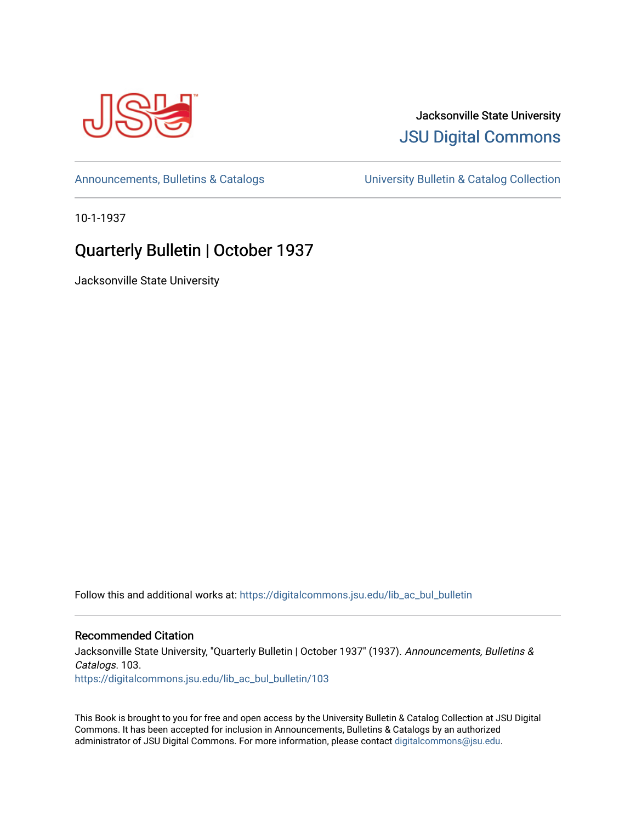

## Jacksonville State University [JSU Digital Commons](https://digitalcommons.jsu.edu/)

[Announcements, Bulletins & Catalogs](https://digitalcommons.jsu.edu/lib_ac_bul_bulletin) [University Bulletin & Catalog Collection](https://digitalcommons.jsu.edu/lib_ac_bulletin) 

10-1-1937

# Quarterly Bulletin | October 1937

Jacksonville State University

Follow this and additional works at: [https://digitalcommons.jsu.edu/lib\\_ac\\_bul\\_bulletin](https://digitalcommons.jsu.edu/lib_ac_bul_bulletin?utm_source=digitalcommons.jsu.edu%2Flib_ac_bul_bulletin%2F103&utm_medium=PDF&utm_campaign=PDFCoverPages) 

## Recommended Citation

Jacksonville State University, "Quarterly Bulletin | October 1937" (1937). Announcements, Bulletins & Catalogs. 103. [https://digitalcommons.jsu.edu/lib\\_ac\\_bul\\_bulletin/103](https://digitalcommons.jsu.edu/lib_ac_bul_bulletin/103?utm_source=digitalcommons.jsu.edu%2Flib_ac_bul_bulletin%2F103&utm_medium=PDF&utm_campaign=PDFCoverPages) 

This Book is brought to you for free and open access by the University Bulletin & Catalog Collection at JSU Digital Commons. It has been accepted for inclusion in Announcements, Bulletins & Catalogs by an authorized administrator of JSU Digital Commons. For more information, please contact [digitalcommons@jsu.edu.](mailto:digitalcommons@jsu.edu)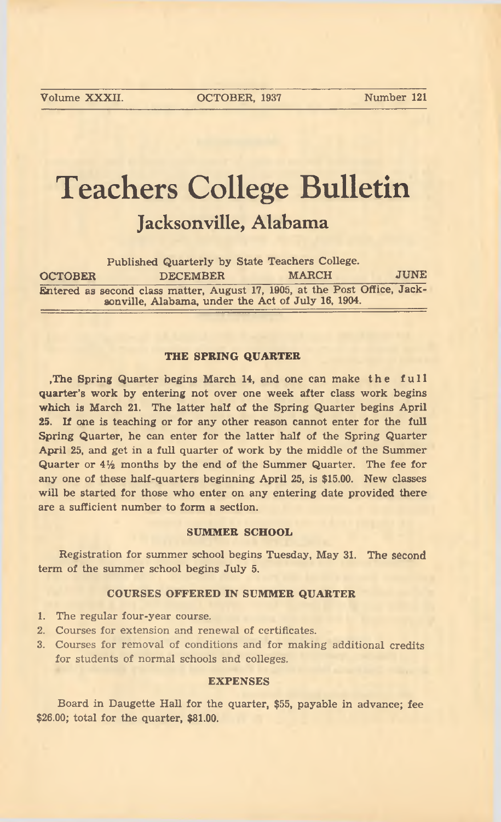**Volume XXXII. OCTOBER, 1937 Number 121**

# Teachers College Bulletin **Jacksonville, Alabama**

|                | Published Quarterly by State Teachers College.                                                                                   |              |             |
|----------------|----------------------------------------------------------------------------------------------------------------------------------|--------------|-------------|
| <b>OCTOBER</b> | <b>DECEMBER</b>                                                                                                                  | <b>MARCH</b> | <b>JUNE</b> |
|                | Entered as second class matter, August 17, 1905, at the Post Office, Jack-<br>sonville, Alabama, under the Act of July 16, 1904. |              |             |

#### THE SPRING QUARTER

, The Spring Quarter begins March 14, and one can make the full quarter's work by entering not over one week after class work begins which is March 21. The latter half of the Spring Quarter begins April 25. If one is teaching or for any other reason cannot enter for the full Spring Quarter, he can enter for the latter half of the Spring Quarter April 25, and get in a full quarter of work by the middle of the Summer Quarter or  $4\frac{1}{2}$  months by the end of the Summer Quarter. The fee for any one of these half-quarters beginning April 25, is \$15.00. New classes will be started for those who enter on any entering date provided there are a sufficient number to form a section.

#### SUMMER SCHOOL

Registration for summer school begins Tuesday, May 31. The second term of the summer school begins July 5.

#### COURSES OFFERED IN SUMMER QUARTER

- 1. The regular four-year course.
- 2. Courses for extension and renewal of certificates.
- 3. Courses for removal of conditions and for making additional credits for students of normal schools and colleges.

#### EXPENSES

Board in Daugette Hall for the quarter, \$55, payable in advance; fee  $$26.00$ ; total for the quarter,  $$81.00$ .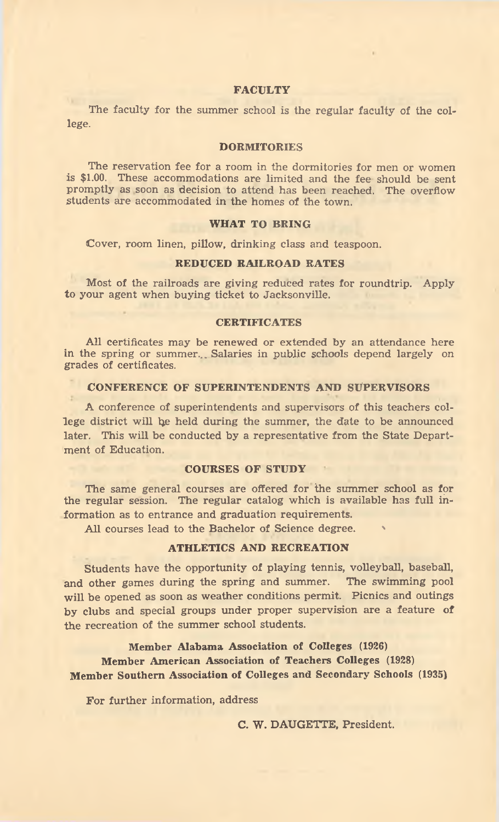#### **FACULTY**

The faculty for the summer school is the regular faculty of the college.

#### **DORMITORIES**

The reservation fee for a room in the dormitories for men or women is \$1.00. These accommodations are limited and the fee should be sent promptly as soon as decision to attend has been reached. The overflow students are accommodated in the homes of the town.

#### WHAT TO BRING

Cover, room linen, pillow, drinking class and teaspoon.

#### REDUCED RAILROAD RATES

Most of the railroads are giving reduced rates for roundtrip. Apply to your agent when buying ticket to Jacksonville.

#### CERTIFICATES

All certificates may be renewed or extended by an attendance here in the spring or summer... Salaries in public schools depend largely on grades of certificates.

#### CONFERENCE OF SUPERINTENDENTS AND SUPERVISORS

A conference of superintendents and supervisors of this teachers college district will be held during the summer, the date to be announced later. This will be conducted by a representative from the State Department of Education.

#### COURSES OF STUDY

The same general courses are offered for the summer school as for the regular session. The regular catalog which is available has full information as to entrance and graduation requirements.

All courses lead to the Bachelor of Science degree.

#### ATHLETICS AND RECREATION

Students have the opportunity of playing tennis, volleyball, baseball, and other games during the spring and summer. The swimming pool will be opened as soon as weather conditions permit. Picnics and outings by clubs and special groups under proper supervision are a feature of the recreation of the summer school students.

Member Alabama Association of Colleges (1926) Member American Association of Teachers Colleges (1928) Member Southern Association of Colleges and Secondary Schools (1935)

For further information, address

C. W. DAUGETTE, President.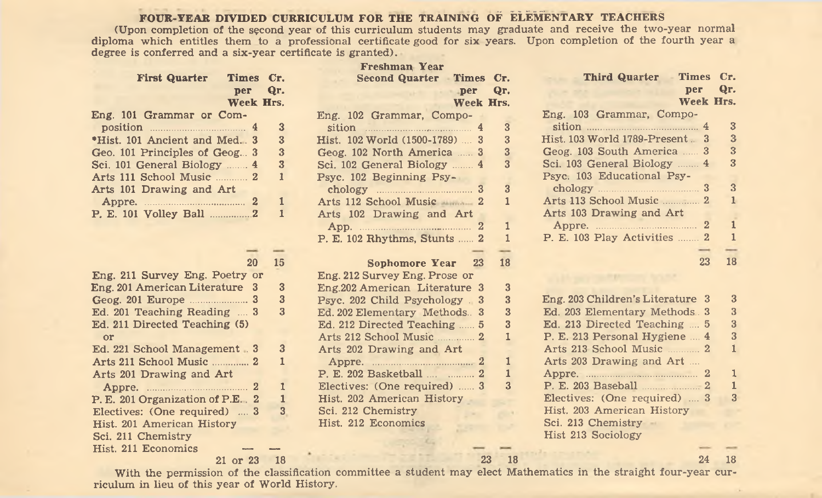### FOUR-YEAR DIVIDED CURRICULUM FOR THE TRAINING OF ELEMENTARY TEACHERS

(Upon completion of the second year of this curriculum students may graduate and receive the two-year normal diploma which entitles them to a professional certificate good for six years. Upon completion of the fourth year a degree is conferred and a six-year certificate is granted).

|                                                        | <b>Freshman Year</b>           |                                    |                                             |                                    |
|--------------------------------------------------------|--------------------------------|------------------------------------|---------------------------------------------|------------------------------------|
| Times Cr.                                              |                                |                                    | <b>Third Quarter</b><br><b>Times</b>        | Cr.                                |
| Qr.                                                    | per                            | Qr.                                | рег                                         | Qr.                                |
| Week Hrs.                                              |                                |                                    | <b>Week Hrs.</b>                            |                                    |
|                                                        | Eng. 102 Grammar, Compo-       |                                    | Eng. 103 Grammar, Compo-                    |                                    |
| 3<br>position 14                                       | sition 14                      | 3                                  | sition $\frac{4}{3}$                        | $\mathbf{3}$                       |
| 3                                                      | Hist. 102 World (1500-1789)  3 | 3                                  | Hist. 103 World 1789-Present. 3             | 3                                  |
| 3                                                      | Geog. 102 North America  3     | 3                                  | Geog. 103 South America  3                  | 3                                  |
| Sci. 101 General Biology  4<br>$\overline{\mathbf{3}}$ | Sci. 102 General Biology  4    | 3                                  | Sci. 103 General Biology  4                 | 3                                  |
| $\mathbf{1}$                                           | Psyc. 102 Beginning Psy-       |                                    | Psyc. 103 Educational Psy-                  |                                    |
|                                                        | chology 3                      | 3                                  |                                             | 3                                  |
| 1                                                      | Arts 112 School Music 2        | 1                                  | Arts 113 School Music  2                    | 1                                  |
| 1                                                      |                                |                                    | Arts 103 Drawing and Art                    |                                    |
|                                                        |                                | 1                                  |                                             | 1                                  |
|                                                        | P. E. 102 Rhythms, Stunts  2   |                                    |                                             | 1                                  |
|                                                        |                                |                                    |                                             |                                    |
| 15<br>20                                               | 23<br>Sophomore Year           | 18                                 | 23                                          | 18                                 |
| Eng. 211 Survey Eng. Poetry or                         | Eng. 212 Survey Eng. Prose or  |                                    |                                             |                                    |
| Eng. 201 American Literature 3<br>3                    | Eng.202 American Literature 3  | 3                                  |                                             |                                    |
| 3                                                      | Psyc. 202 Child Psychology 3   | 3                                  | Eng. 203 Children's Literature 3            |                                    |
| 3<br>Ed. 201 Teaching Reading  3                       | Ed. 202 Elementary Methods. 3  | 3                                  | Ed. 203 Elementary Methods 3                |                                    |
|                                                        | Ed. 212 Directed Teaching  5   | 3                                  | Ed. 213 Directed Teaching  5                | S                                  |
|                                                        |                                | 1                                  | P. E. 213 Personal Hygiene  4               |                                    |
| 3<br>Ed. 221 School Management 3                       | Arts 202 Drawing and Art       |                                    | Arts 213 School Music 2                     |                                    |
| $\mathbf{1}$                                           |                                | ı                                  | Arts 203 Drawing and Art                    |                                    |
|                                                        | P. E. 202 Basketball   2       | $\mathbf{1}$                       |                                             |                                    |
| 1                                                      | Electives: (One required)  3   | $\mathbf{3}$                       | P. E. 203 Baseball 2                        |                                    |
| P. E. 201 Organization of P.E., 2<br>1                 | Hist. 202 American History     |                                    | Electives: (One required)  3                |                                    |
| Electives: (One required)  3<br>3                      | Sci. 212 Chemistry             |                                    | Hist. 203 American History                  |                                    |
|                                                        | Hist. 212 Economics            |                                    | Sci. 213 Chemistry -                        |                                    |
|                                                        |                                |                                    | Hist 213 Sociology                          |                                    |
|                                                        |                                |                                    |                                             |                                    |
| 21 or 23<br><b>18</b>                                  |                                |                                    | 24                                          | 18                                 |
|                                                        |                                | Arts 102 Drawing and Art<br>App. 2 | Second Quarter Times Cr.<br>Week Hrs.<br>23 | P. E. 103 Play Activities  2<br>18 |

With the permission of the classification committee a student may elect Mathematics in the straight four-year curriculum in lieu of this year of World History.